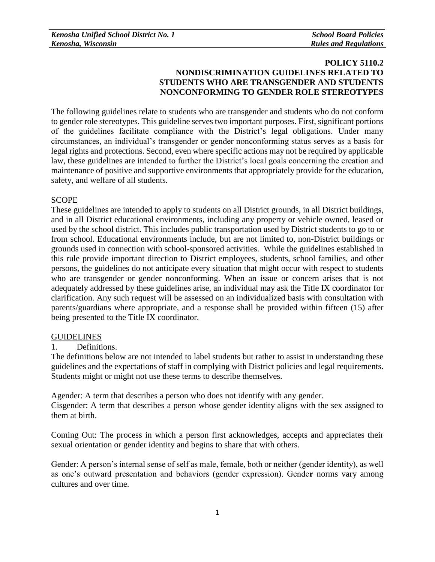The following guidelines relate to students who are transgender and students who do not conform to gender role stereotypes. This guideline serves two important purposes. First, significant portions of the guidelines facilitate compliance with the District's legal obligations. Under many circumstances, an individual's transgender or gender nonconforming status serves as a basis for legal rights and protections. Second, even where specific actions may not be required by applicable law, these guidelines are intended to further the District's local goals concerning the creation and maintenance of positive and supportive environments that appropriately provide for the education, safety, and welfare of all students.

## **SCOPE**

These guidelines are intended to apply to students on all District grounds, in all District buildings, and in all District educational environments, including any property or vehicle owned, leased or used by the school district. This includes public transportation used by District students to go to or from school. Educational environments include, but are not limited to, non-District buildings or grounds used in connection with school-sponsored activities. While the guidelines established in this rule provide important direction to District employees, students, school families, and other persons, the guidelines do not anticipate every situation that might occur with respect to students who are transgender or gender nonconforming. When an issue or concern arises that is not adequately addressed by these guidelines arise, an individual may ask the Title IX coordinator for clarification. Any such request will be assessed on an individualized basis with consultation with parents/guardians where appropriate, and a response shall be provided within fifteen (15) after being presented to the Title IX coordinator.

### **GUIDELINES**

### 1. Definitions.

The definitions below are not intended to label students but rather to assist in understanding these guidelines and the expectations of staff in complying with District policies and legal requirements. Students might or might not use these terms to describe themselves.

Agender: A term that describes a person who does not identify with any gender. Cisgender: A term that describes a person whose gender identity aligns with the sex assigned to them at birth.

Coming Out: The process in which a person first acknowledges, accepts and appreciates their sexual orientation or gender identity and begins to share that with others.

Gender: A person's internal sense of self as male, female, both or neither (gender identity), as well as one's outward presentation and behaviors (gender expression). Gende**r** norms vary among cultures and over time.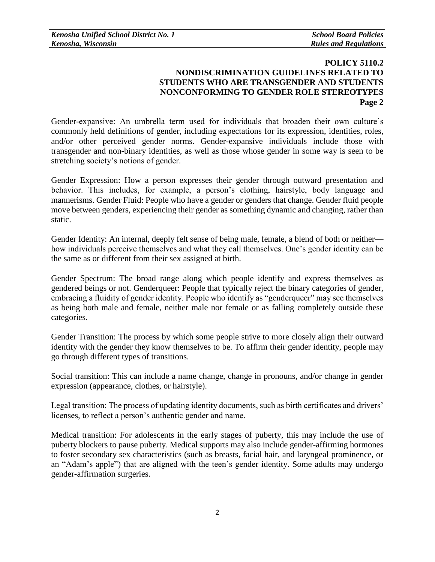Gender-expansive: An umbrella term used for individuals that broaden their own culture's commonly held definitions of gender, including expectations for its expression, identities, roles, and/or other perceived gender norms. Gender-expansive individuals include those with transgender and non-binary identities, as well as those whose gender in some way is seen to be stretching society's notions of gender.

Gender Expression: How a person expresses their gender through outward presentation and behavior. This includes, for example, a person's clothing, hairstyle, body language and mannerisms. Gender Fluid: People who have a gender or genders that change. Gender fluid people move between genders, experiencing their gender as something dynamic and changing, rather than static.

Gender Identity: An internal, deeply felt sense of being male, female, a blend of both or neither how individuals perceive themselves and what they call themselves. One's gender identity can be the same as or different from their sex assigned at birth.

Gender Spectrum: The broad range along which people identify and express themselves as gendered beings or not. Genderqueer: People that typically reject the binary categories of gender, embracing a fluidity of gender identity. People who identify as "genderqueer" may see themselves as being both male and female, neither male nor female or as falling completely outside these categories.

Gender Transition: The process by which some people strive to more closely align their outward identity with the gender they know themselves to be. To affirm their gender identity, people may go through different types of transitions.

Social transition: This can include a name change, change in pronouns, and/or change in gender expression (appearance, clothes, or hairstyle).

Legal transition: The process of updating identity documents, such as birth certificates and drivers' licenses, to reflect a person's authentic gender and name.

Medical transition: For adolescents in the early stages of puberty, this may include the use of puberty blockers to pause puberty. Medical supports may also include gender-affirming hormones to foster secondary sex characteristics (such as breasts, facial hair, and laryngeal prominence, or an "Adam's apple") that are aligned with the teen's gender identity. Some adults may undergo gender-affirmation surgeries.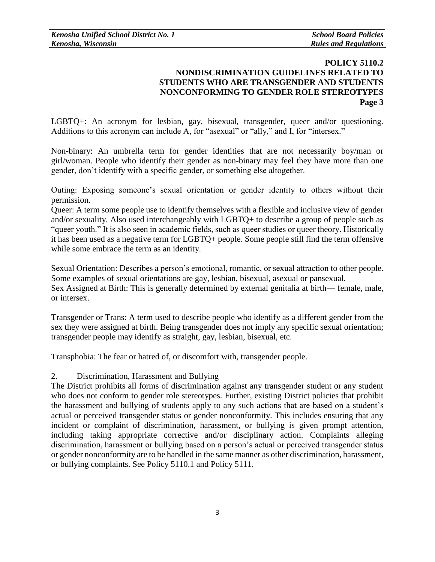LGBTQ+: An acronym for lesbian, gay, bisexual, transgender, queer and/or questioning. Additions to this acronym can include A, for "asexual" or "ally," and I, for "intersex."

Non-binary: An umbrella term for gender identities that are not necessarily boy/man or girl/woman. People who identify their gender as non-binary may feel they have more than one gender, don't identify with a specific gender, or something else altogether.

Outing: Exposing someone's sexual orientation or gender identity to others without their permission.

Queer: A term some people use to identify themselves with a flexible and inclusive view of gender and/or sexuality. Also used interchangeably with LGBTQ+ to describe a group of people such as "queer youth." It is also seen in academic fields, such as queer studies or queer theory. Historically it has been used as a negative term for LGBTQ+ people. Some people still find the term offensive while some embrace the term as an identity.

Sexual Orientation: Describes a person's emotional, romantic, or sexual attraction to other people. Some examples of sexual orientations are gay, lesbian, bisexual, asexual or pansexual. Sex Assigned at Birth: This is generally determined by external genitalia at birth–– female, male, or intersex.

Transgender or Trans: A term used to describe people who identify as a different gender from the sex they were assigned at birth. Being transgender does not imply any specific sexual orientation; transgender people may identify as straight, gay, lesbian, bisexual, etc.

Transphobia: The fear or hatred of, or discomfort with, transgender people.

# 2. Discrimination, Harassment and Bullying

The District prohibits all forms of discrimination against any transgender student or any student who does not conform to gender role stereotypes. Further, existing District policies that prohibit the harassment and bullying of students apply to any such actions that are based on a student's actual or perceived transgender status or gender nonconformity. This includes ensuring that any incident or complaint of discrimination, harassment, or bullying is given prompt attention, including taking appropriate corrective and/or disciplinary action. Complaints alleging discrimination, harassment or bullying based on a person's actual or perceived transgender status or gender nonconformity are to be handled in the same manner as other discrimination, harassment, or bullying complaints. See Policy 5110.1 and Policy 5111.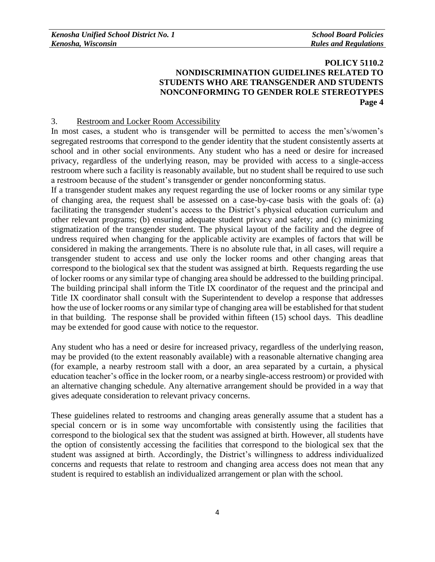### 3. Restroom and Locker Room Accessibility

In most cases, a student who is transgender will be permitted to access the men's/women's segregated restrooms that correspond to the gender identity that the student consistently asserts at school and in other social environments. Any student who has a need or desire for increased privacy, regardless of the underlying reason, may be provided with access to a single-access restroom where such a facility is reasonably available, but no student shall be required to use such a restroom because of the student's transgender or gender nonconforming status.

If a transgender student makes any request regarding the use of locker rooms or any similar type of changing area, the request shall be assessed on a case-by-case basis with the goals of: (a) facilitating the transgender student's access to the District's physical education curriculum and other relevant programs; (b) ensuring adequate student privacy and safety; and (c) minimizing stigmatization of the transgender student. The physical layout of the facility and the degree of undress required when changing for the applicable activity are examples of factors that will be considered in making the arrangements. There is no absolute rule that, in all cases, will require a transgender student to access and use only the locker rooms and other changing areas that correspond to the biological sex that the student was assigned at birth. Requests regarding the use of locker rooms or any similar type of changing area should be addressed to the building principal. The building principal shall inform the Title IX coordinator of the request and the principal and Title IX coordinator shall consult with the Superintendent to develop a response that addresses how the use of locker rooms or any similar type of changing area will be established for that student in that building. The response shall be provided within fifteen (15) school days. This deadline may be extended for good cause with notice to the requestor.

Any student who has a need or desire for increased privacy, regardless of the underlying reason, may be provided (to the extent reasonably available) with a reasonable alternative changing area (for example, a nearby restroom stall with a door, an area separated by a curtain, a physical education teacher's office in the locker room, or a nearby single-access restroom) or provided with an alternative changing schedule. Any alternative arrangement should be provided in a way that gives adequate consideration to relevant privacy concerns.

These guidelines related to restrooms and changing areas generally assume that a student has a special concern or is in some way uncomfortable with consistently using the facilities that correspond to the biological sex that the student was assigned at birth. However, all students have the option of consistently accessing the facilities that correspond to the biological sex that the student was assigned at birth. Accordingly, the District's willingness to address individualized concerns and requests that relate to restroom and changing area access does not mean that any student is required to establish an individualized arrangement or plan with the school.